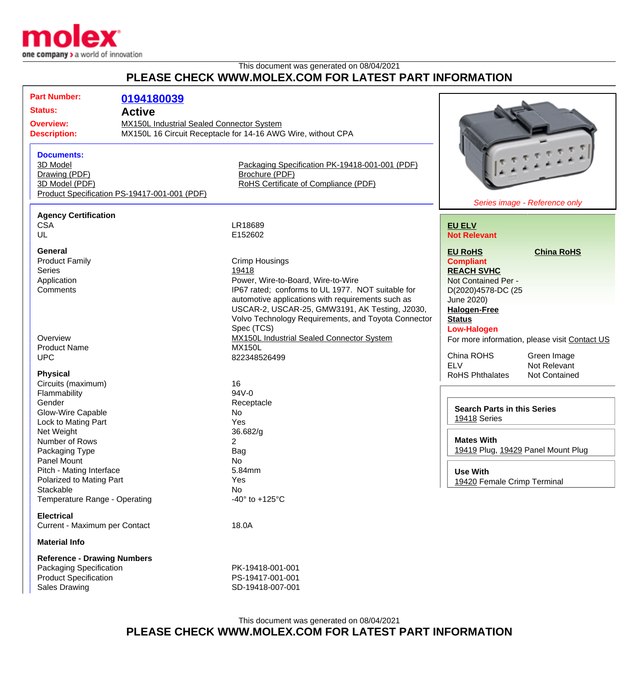

## This document was generated on 08/04/2021 **PLEASE CHECK WWW.MOLEX.COM FOR LATEST PART INFORMATION**

| <b>Part Number:</b><br>Status:<br><b>Overview:</b><br><b>Description:</b><br><b>Documents:</b><br>3D Model<br>Drawing (PDF)<br>3D Model (PDF) | 0194180039<br><b>Active</b><br>MX150L Industrial Sealed Connector System<br>MX150L 16 Circuit Receptacle for 14-16 AWG Wire, without CPA<br>Packaging Specification PK-19418-001-001 (PDF)<br>Brochure (PDF)<br>RoHS Certificate of Compliance (PDF) |                                                                                                                                                                                                                                                                                                       |                                                                                                                                                                                  |                                                                                               |
|-----------------------------------------------------------------------------------------------------------------------------------------------|------------------------------------------------------------------------------------------------------------------------------------------------------------------------------------------------------------------------------------------------------|-------------------------------------------------------------------------------------------------------------------------------------------------------------------------------------------------------------------------------------------------------------------------------------------------------|----------------------------------------------------------------------------------------------------------------------------------------------------------------------------------|-----------------------------------------------------------------------------------------------|
| Product Specification PS-19417-001-001 (PDF)                                                                                                  |                                                                                                                                                                                                                                                      |                                                                                                                                                                                                                                                                                                       |                                                                                                                                                                                  | Series image - Reference only                                                                 |
| <b>Agency Certification</b><br><b>CSA</b><br>UL                                                                                               |                                                                                                                                                                                                                                                      | LR18689<br>E152602                                                                                                                                                                                                                                                                                    | <b>EU ELV</b><br><b>Not Relevant</b>                                                                                                                                             |                                                                                               |
| <b>General</b><br><b>Product Family</b><br>Series<br>Application<br>Comments                                                                  |                                                                                                                                                                                                                                                      | <b>Crimp Housings</b><br>19418<br>Power, Wire-to-Board, Wire-to-Wire<br>IP67 rated; conforms to UL 1977. NOT suitable for<br>automotive applications with requirements such as<br>USCAR-2, USCAR-25, GMW3191, AK Testing, J2030,<br>Volvo Technology Requirements, and Toyota Connector<br>Spec (TCS) | <b>EU RoHS</b><br><b>Compliant</b><br><b>REACH SVHC</b><br>Not Contained Per -<br>D(2020)4578-DC (25<br>June 2020)<br><b>Halogen-Free</b><br><b>Status</b><br><b>Low-Halogen</b> | <b>China RoHS</b>                                                                             |
| Overview<br><b>Product Name</b><br><b>UPC</b><br><b>Physical</b>                                                                              |                                                                                                                                                                                                                                                      | <b>MX150L Industrial Sealed Connector System</b><br><b>MX150L</b><br>822348526499                                                                                                                                                                                                                     | China ROHS<br><b>ELV</b><br><b>RoHS Phthalates</b>                                                                                                                               | For more information, please visit Contact US<br>Green Image<br>Not Relevant<br>Not Contained |
| Circuits (maximum)<br>Flammability<br>Gender<br>Glow-Wire Capable<br>Lock to Mating Part<br>Net Weight                                        |                                                                                                                                                                                                                                                      | 16<br>94V-0<br>Receptacle<br>No<br>Yes<br>36.682/g                                                                                                                                                                                                                                                    | <b>Search Parts in this Series</b><br>19418 Series                                                                                                                               |                                                                                               |
| Number of Rows<br>Packaging Type<br>Panel Mount                                                                                               |                                                                                                                                                                                                                                                      | 2<br>Bag<br>No                                                                                                                                                                                                                                                                                        | <b>Mates With</b><br>19419 Plug, 19429 Panel Mount Plug                                                                                                                          |                                                                                               |
| Pitch - Mating Interface<br>Polarized to Mating Part<br>Stackable<br>Temperature Range - Operating                                            |                                                                                                                                                                                                                                                      | 5.84mm<br>Yes<br>No<br>-40 $\degree$ to +125 $\degree$ C                                                                                                                                                                                                                                              | <b>Use With</b><br>19420 Female Crimp Terminal                                                                                                                                   |                                                                                               |
| <b>Electrical</b><br>Current - Maximum per Contact                                                                                            |                                                                                                                                                                                                                                                      | 18.0A                                                                                                                                                                                                                                                                                                 |                                                                                                                                                                                  |                                                                                               |
| <b>Material Info</b>                                                                                                                          |                                                                                                                                                                                                                                                      |                                                                                                                                                                                                                                                                                                       |                                                                                                                                                                                  |                                                                                               |
| <b>Reference - Drawing Numbers</b><br>Packaging Specification<br><b>Product Specification</b><br><b>Sales Drawing</b>                         |                                                                                                                                                                                                                                                      | PK-19418-001-001<br>PS-19417-001-001<br>SD-19418-007-001                                                                                                                                                                                                                                              |                                                                                                                                                                                  |                                                                                               |